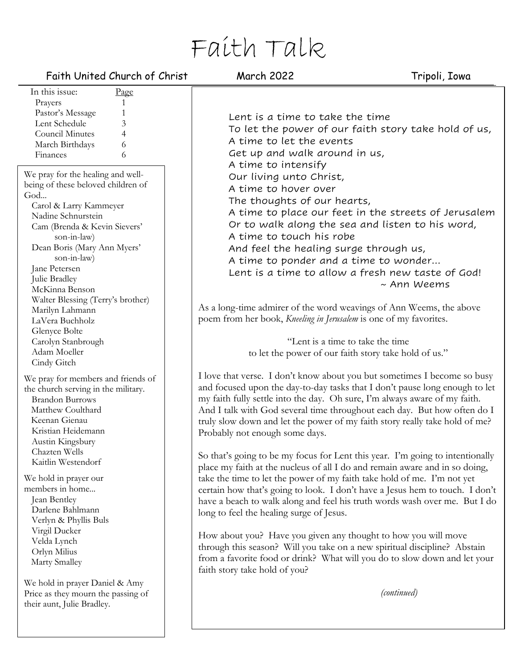# Faith Talk

## Faith United Church of Christ March 2022 Tripoli, Iowa

| In this issue:<br>Page                                                                                                                                                                                                     |  |
|----------------------------------------------------------------------------------------------------------------------------------------------------------------------------------------------------------------------------|--|
| 1<br>Prayers                                                                                                                                                                                                               |  |
| Pastor's Message<br>1                                                                                                                                                                                                      |  |
| Lent Schedule<br>3                                                                                                                                                                                                         |  |
| $\overline{4}$<br><b>Council Minutes</b>                                                                                                                                                                                   |  |
| 6<br>March Birthdays                                                                                                                                                                                                       |  |
| 6<br>Finances                                                                                                                                                                                                              |  |
|                                                                                                                                                                                                                            |  |
| We pray for the healing and well-<br>being of these beloved children of<br>God<br>Carol & Larry Kammeyer                                                                                                                   |  |
| Nadine Schnurstein                                                                                                                                                                                                         |  |
| Cam (Brenda & Kevin Sievers'                                                                                                                                                                                               |  |
| son-in-law)                                                                                                                                                                                                                |  |
| Dean Boris (Mary Ann Myers'                                                                                                                                                                                                |  |
| son-in-law)                                                                                                                                                                                                                |  |
| Jane Petersen                                                                                                                                                                                                              |  |
| Julie Bradley                                                                                                                                                                                                              |  |
| McKinna Benson                                                                                                                                                                                                             |  |
| Walter Blessing (Terry's brother)                                                                                                                                                                                          |  |
| Marilyn Lahmann                                                                                                                                                                                                            |  |
| LaVera Buchholz                                                                                                                                                                                                            |  |
| Glenyce Bolte                                                                                                                                                                                                              |  |
| Carolyn Stanbrough                                                                                                                                                                                                         |  |
| Adam Moeller                                                                                                                                                                                                               |  |
| Cindy Gitch                                                                                                                                                                                                                |  |
| We pray for members and friends of<br>the church serving in the military.<br><b>Brandon Burrows</b><br>Matthew Coulthard<br>Keenan Gienau<br>Kristian Heidemann<br>Austin Kingsbury<br>Chazten Wells<br>Kaitlin Westendorf |  |
| We hold in prayer our                                                                                                                                                                                                      |  |
| members in home                                                                                                                                                                                                            |  |
| Jean Bentley                                                                                                                                                                                                               |  |
| Darlene Bahlmann                                                                                                                                                                                                           |  |
| Verlyn & Phyllis Buls                                                                                                                                                                                                      |  |
| Virgil Ducker                                                                                                                                                                                                              |  |
| Velda Lynch                                                                                                                                                                                                                |  |
| Orlyn Milius                                                                                                                                                                                                               |  |
| Marty Smalley                                                                                                                                                                                                              |  |
| We hold in prayer Daniel & Amy<br>Price as they mourn the passing of                                                                                                                                                       |  |

their aunt, Julie Bradley.

Lent is a time to take the time To let the power of our faith story take hold of us, A time to let the events Get up and walk around in us, A time to intensify Our living unto Christ, A time to hover over The thoughts of our hearts, A time to place our feet in the streets of Jerusalem Or to walk along the sea and listen to his word, A time to touch his robe And feel the healing surge through us, A time to ponder and a time to wonder… Lent is a time to allow a fresh new taste of God! ~ Ann Weems

As a long-time admirer of the word weavings of Ann Weems, the above poem from her book, *Kneeling in Jerusalem* is one of my favorites.

> "Lent is a time to take the time to let the power of our faith story take hold of us."

I love that verse. I don't know about you but sometimes I become so busy and focused upon the day-to-day tasks that I don't pause long enough to let my faith fully settle into the day. Oh sure, I'm always aware of my faith. And I talk with God several time throughout each day. But how often do I truly slow down and let the power of my faith story really take hold of me? Probably not enough some days.

So that's going to be my focus for Lent this year. I'm going to intentionally place my faith at the nucleus of all I do and remain aware and in so doing, take the time to let the power of my faith take hold of me. I'm not yet certain how that's going to look. I don't have a Jesus hem to touch. I don't have a beach to walk along and feel his truth words wash over me. But I do long to feel the healing surge of Jesus.

How about you? Have you given any thought to how you will move through this season? Will you take on a new spiritual discipline? Abstain from a favorite food or drink? What will you do to slow down and let your faith story take hold of you?

*(continued)*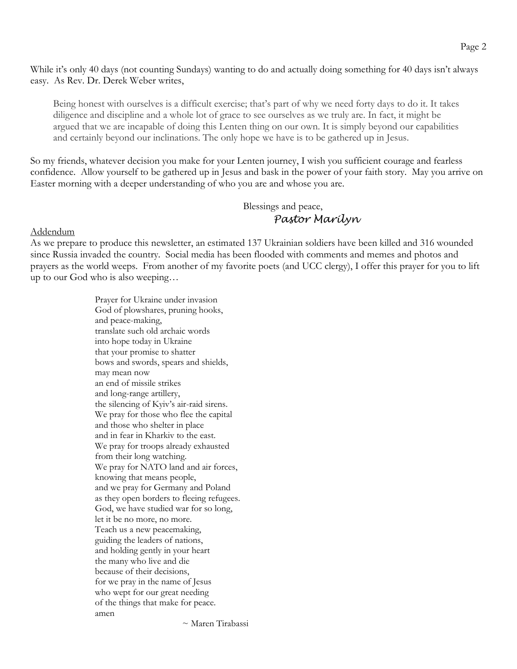While it's only 40 days (not counting Sundays) wanting to do and actually doing something for 40 days isn't always easy. As Rev. Dr. Derek Weber writes,

Being honest with ourselves is a difficult exercise; that's part of why we need forty days to do it. It takes diligence and discipline and a whole lot of grace to see ourselves as we truly are. In fact, it might be argued that we are incapable of doing this Lenten thing on our own. It is simply beyond our capabilities and certainly beyond our inclinations. The only hope we have is to be gathered up in Jesus.

So my friends, whatever decision you make for your Lenten journey, I wish you sufficient courage and fearless confidence. Allow yourself to be gathered up in Jesus and bask in the power of your faith story. May you arrive on Easter morning with a deeper understanding of who you are and whose you are.

> Blessings and peace, *Pastor Marilyn*

Addendum

As we prepare to produce this newsletter, an estimated 137 Ukrainian soldiers have been killed and 316 wounded since Russia invaded the country. Social media has been flooded with comments and memes and photos and prayers as the world weeps. From another of my favorite poets (and UCC clergy), I offer this prayer for you to lift up to our God who is also weeping…

> Prayer for Ukraine under invasion God of plowshares, pruning hooks, and peace-making, translate such old archaic words into hope today in Ukraine that your promise to shatter bows and swords, spears and shields, may mean now an end of missile strikes and long-range artillery, the silencing of Kyiv's air-raid sirens. We pray for those who flee the capital and those who shelter in place and in fear in Kharkiv to the east. We pray for troops already exhausted from their long watching. We pray for NATO land and air forces, knowing that means people, and we pray for Germany and Poland as they open borders to fleeing refugees. God, we have studied war for so long, let it be no more, no more. Teach us a new peacemaking, guiding the leaders of nations, and holding gently in your heart the many who live and die because of their decisions, for we pray in the name of Jesus who wept for our great needing of the things that make for peace. amen

~ Maren Tirabassi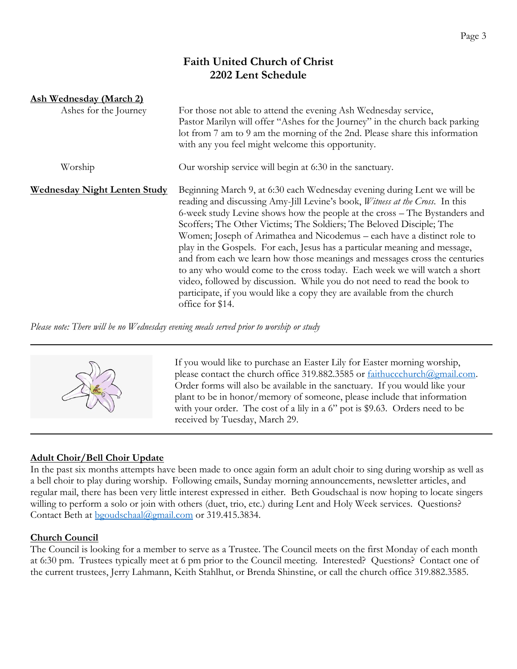# **Faith United Church of Christ 2202 Lent Schedule**

| <b>Ash Wednesday (March 2)</b>      |                                                                                                                                                                                                                                                                                                                                                                                                                                                                                                                                                                                                                                                                                                                                                                                                                        |
|-------------------------------------|------------------------------------------------------------------------------------------------------------------------------------------------------------------------------------------------------------------------------------------------------------------------------------------------------------------------------------------------------------------------------------------------------------------------------------------------------------------------------------------------------------------------------------------------------------------------------------------------------------------------------------------------------------------------------------------------------------------------------------------------------------------------------------------------------------------------|
| Ashes for the Journey               | For those not able to attend the evening Ash Wednesday service,<br>Pastor Marilyn will offer "Ashes for the Journey" in the church back parking<br>lot from 7 am to 9 am the morning of the 2nd. Please share this information<br>with any you feel might welcome this opportunity.                                                                                                                                                                                                                                                                                                                                                                                                                                                                                                                                    |
| Worship                             | Our worship service will begin at 6:30 in the sanctuary.                                                                                                                                                                                                                                                                                                                                                                                                                                                                                                                                                                                                                                                                                                                                                               |
| <b>Wednesday Night Lenten Study</b> | Beginning March 9, at 6:30 each Wednesday evening during Lent we will be<br>reading and discussing Amy-Jill Levine's book, <i>Witness at the Cross</i> . In this<br>6-week study Levine shows how the people at the cross – The Bystanders and<br>Scoffers; The Other Victims; The Soldiers; The Beloved Disciple; The<br>Women; Joseph of Arimathea and Nicodemus – each have a distinct role to<br>play in the Gospels. For each, Jesus has a particular meaning and message,<br>and from each we learn how those meanings and messages cross the centuries<br>to any who would come to the cross today. Each week we will watch a short<br>video, followed by discussion. While you do not need to read the book to<br>participate, if you would like a copy they are available from the church<br>office for \$14. |

*Please note: There will be no Wednesday evening meals served prior to worship or study*



If you would like to purchase an Easter Lily for Easter morning worship, please contact the church office 319.882.3585 or faithuccchurch@gmail.com. Order forms will also be available in the sanctuary. If you would like your plant to be in honor/memory of someone, please include that information with your order. The cost of a lily in a 6" pot is \$9.63. Orders need to be received by Tuesday, March 29.

# **Adult Choir/Bell Choir Update**

In the past six months attempts have been made to once again form an adult choir to sing during worship as well as a bell choir to play during worship. Following emails, Sunday morning announcements, newsletter articles, and regular mail, there has been very little interest expressed in either. Beth Goudschaal is now hoping to locate singers willing to perform a solo or join with others (duet, trio, etc.) during Lent and Holy Week services. Questions? Contact Beth at bgoudschaal@gmail.com or 319.415.3834.

## **Church Council**

The Council is looking for a member to serve as a Trustee. The Council meets on the first Monday of each month at 6:30 pm. Trustees typically meet at 6 pm prior to the Council meeting. Interested? Questions? Contact one of the current trustees, Jerry Lahmann, Keith Stahlhut, or Brenda Shinstine, or call the church office 319.882.3585.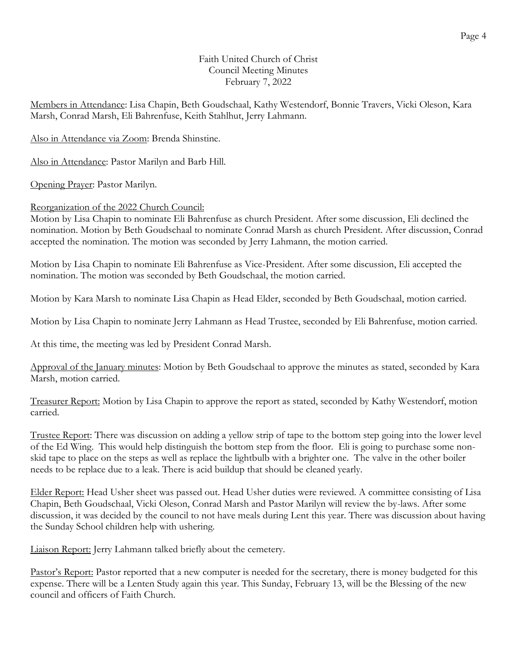#### Faith United Church of Christ Council Meeting Minutes February 7, 2022

Members in Attendance: Lisa Chapin, Beth Goudschaal, Kathy Westendorf, Bonnie Travers, Vicki Oleson, Kara Marsh, Conrad Marsh, Eli Bahrenfuse, Keith Stahlhut, Jerry Lahmann.

Also in Attendance via Zoom: Brenda Shinstine.

Also in Attendance: Pastor Marilyn and Barb Hill.

Opening Prayer: Pastor Marilyn.

#### Reorganization of the 2022 Church Council:

Motion by Lisa Chapin to nominate Eli Bahrenfuse as church President. After some discussion, Eli declined the nomination. Motion by Beth Goudschaal to nominate Conrad Marsh as church President. After discussion, Conrad accepted the nomination. The motion was seconded by Jerry Lahmann, the motion carried.

Motion by Lisa Chapin to nominate Eli Bahrenfuse as Vice-President. After some discussion, Eli accepted the nomination. The motion was seconded by Beth Goudschaal, the motion carried.

Motion by Kara Marsh to nominate Lisa Chapin as Head Elder, seconded by Beth Goudschaal, motion carried.

Motion by Lisa Chapin to nominate Jerry Lahmann as Head Trustee, seconded by Eli Bahrenfuse, motion carried.

At this time, the meeting was led by President Conrad Marsh.

Approval of the January minutes: Motion by Beth Goudschaal to approve the minutes as stated, seconded by Kara Marsh, motion carried.

Treasurer Report: Motion by Lisa Chapin to approve the report as stated, seconded by Kathy Westendorf, motion carried.

Trustee Report: There was discussion on adding a yellow strip of tape to the bottom step going into the lower level of the Ed Wing. This would help distinguish the bottom step from the floor. Eli is going to purchase some nonskid tape to place on the steps as well as replace the lightbulb with a brighter one. The valve in the other boiler needs to be replace due to a leak. There is acid buildup that should be cleaned yearly.

Elder Report: Head Usher sheet was passed out. Head Usher duties were reviewed. A committee consisting of Lisa Chapin, Beth Goudschaal, Vicki Oleson, Conrad Marsh and Pastor Marilyn will review the by-laws. After some discussion, it was decided by the council to not have meals during Lent this year. There was discussion about having the Sunday School children help with ushering.

Liaison Report: Jerry Lahmann talked briefly about the cemetery.

Pastor's Report: Pastor reported that a new computer is needed for the secretary, there is money budgeted for this expense. There will be a Lenten Study again this year. This Sunday, February 13, will be the Blessing of the new council and officers of Faith Church.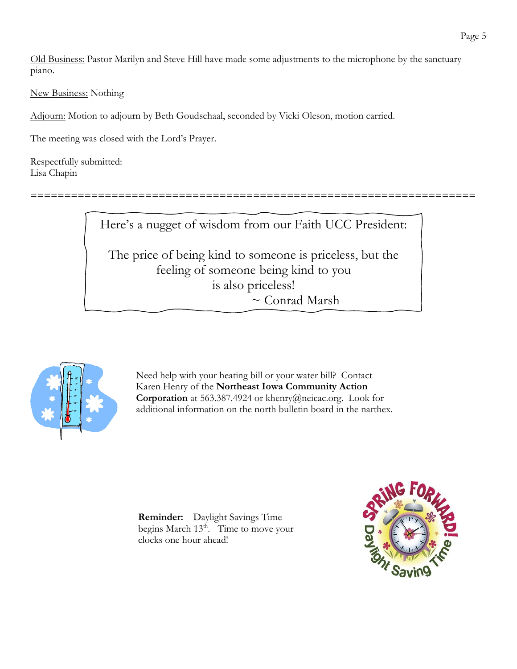Old Business: Pastor Marilyn and Steve Hill have made some adjustments to the microphone by the sanctuary piano.

New Business: Nothing

Adjourn: Motion to adjourn by Beth Goudschaal, seconded by Vicki Oleson, motion carried.

The meeting was closed with the Lord's Prayer.

Respectfully submitted: Lisa Chapin

Here's a nugget of wisdom from our Faith UCC President:

==================================================================

The price of being kind to someone is priceless, but the feeling of someone being kind to you is also priceless! ~ Conrad Marsh



Need help with your heating bill or your water bill? Contact Karen Henry of the **Northeast Iowa Community Action Corporation** at 563.387.4924 or khenry@neicac.org. Look for additional information on the north bulletin board in the narthex.

**Reminder:** Daylight Savings Time begins March  $13<sup>th</sup>$ . Time to move your clocks one hour ahead!